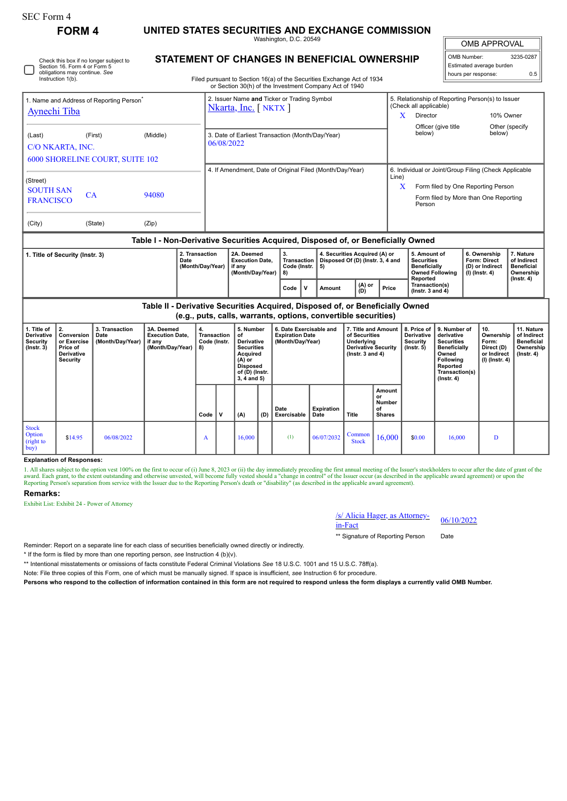## **FORM 4 UNITED STATES SECURITIES AND EXCHANGE COMMISSION**

Check this box if no longer subject to

Washington, D.C. 20549

 $\mathbb{F}$ OMB APPROVAL

| OMB Number:              | 3235-0287 |  |  |  |  |  |  |  |  |
|--------------------------|-----------|--|--|--|--|--|--|--|--|
| Estimated average burden |           |  |  |  |  |  |  |  |  |
| hours per response:      | 0.5       |  |  |  |  |  |  |  |  |

| Instruction 1(b).                                                           | Section 16, Form 4 or Form 5<br>obligations may continue. See |          | Filed pursuant to Section 16(a) of the Securities Exchange Act of 1934<br>or Section 30(h) of the Investment Company Act of 1940 |            |                                    | Estimated average burden<br>hours per response: |                                                                                                | 0.5 |
|-----------------------------------------------------------------------------|---------------------------------------------------------------|----------|----------------------------------------------------------------------------------------------------------------------------------|------------|------------------------------------|-------------------------------------------------|------------------------------------------------------------------------------------------------|-----|
| 1. Name and Address of Reporting Person <sup>®</sup><br><b>Aynechi Tiba</b> |                                                               |          | 2. Issuer Name and Ticker or Trading Symbol<br>Nkarta, Inc. [NKTX]                                                               | X          | (Check all applicable)<br>Director |                                                 | 5. Relationship of Reporting Person(s) to Issuer<br>10% Owner                                  |     |
| (Last)<br>C/O NKARTA, INC.                                                  | (First)<br><b>6000 SHORELINE COURT, SUITE 102</b>             | (Middle) | 3. Date of Earliest Transaction (Month/Day/Year)<br>06/08/2022                                                                   |            | Officer (give title<br>below)      |                                                 | Other (specify)<br>below)                                                                      |     |
| (Street)<br><b>SOUTH SAN</b><br><b>FRANCISCO</b>                            | CA                                                            | 94080    | 4. If Amendment, Date of Original Filed (Month/Day/Year)                                                                         | Line)<br>X | Person                             | Form filed by One Reporting Person              | 6. Individual or Joint/Group Filing (Check Applicable<br>Form filed by More than One Reporting |     |
| (City)                                                                      | (State)                                                       | (Zip)    |                                                                                                                                  |            |                                    |                                                 |                                                                                                |     |

### **Table I - Non-Derivative Securities Acquired, Disposed of, or Beneficially Owned**

| 1. Title of Security (Instr. 3) | 2. Transaction<br>Date<br>(Month/Dav/Year) | 2A. Deemed<br><b>Execution Date.</b><br>if anv<br>(Month/Dav/Year) | Code (Instr.   5)<br>  8) |  | 4. Securities Acquired (A) or<br>Transaction   Disposed Of (D) (Instr. 3, 4 and |                   |       | 5. Amount of<br><b>Securities</b><br><b>Beneficially</b><br><b>Owned Following</b><br>Reported | 6. Ownership<br>Form: Direct<br>(D) or Indirect<br>(I) (Instr. 4) | . Nature<br>of Indirect<br>Beneficial<br>Ownership |
|---------------------------------|--------------------------------------------|--------------------------------------------------------------------|---------------------------|--|---------------------------------------------------------------------------------|-------------------|-------|------------------------------------------------------------------------------------------------|-------------------------------------------------------------------|----------------------------------------------------|
|                                 |                                            |                                                                    | Code                      |  | Amount                                                                          | $(A)$ or<br>$(B)$ | Price | Transaction(s)<br>$($ lnstr. 3 and 4 $)$                                                       |                                                                   | (Instr. 4)                                         |

**Table II - Derivative Securities Acquired, Disposed of, or Beneficially Owned (e.g., puts, calls, warrants, options, convertible securities)**

| 1. Title of<br><b>Derivative</b><br>Security<br>$($ lnstr. 3 $)$ | 2.<br>Conversion<br>or Exercise<br>Price of<br>Derivative<br>Security | 3. Transaction<br>Date<br>(Month/Day/Year) | 3A. Deemed<br><b>Execution Date,</b><br>if any<br>(Month/Day/Year) | 4.<br>Transaction<br>Code (Instr.<br>8) |   | 5. Number<br>of<br><b>Derivative</b><br><b>Securities</b><br>Acquired<br>$(A)$ or<br><b>Disposed</b><br>of (D) (Instr.<br>$3, 4$ and $5)$ |     | 6. Date Exercisable and<br><b>Expiration Date</b><br>(Month/Day/Year) |                           | 7. Title and Amount<br>of Securities<br>Underlying<br><b>Derivative Security</b><br>( $lnstr. 3 and 4$ ) |                                                      | 8. Price of<br>Derivative<br><b>Security</b><br>$($ lnstr. 5 $)$ | 9. Number of<br>derivative<br><b>Securities</b><br><b>Beneficially</b><br>Owned<br>Following<br>Reported<br>Transaction(s)<br>$($ Instr. 4 $)$ | 10.<br>Ownership<br>Form:<br>Direct (D)<br>or Indirect<br>$(l)$ (lnstr. 4) | 11. Nature<br>of Indirect<br><b>Beneficial</b><br>Ownership<br>$($ Instr. 4 $)$ |
|------------------------------------------------------------------|-----------------------------------------------------------------------|--------------------------------------------|--------------------------------------------------------------------|-----------------------------------------|---|-------------------------------------------------------------------------------------------------------------------------------------------|-----|-----------------------------------------------------------------------|---------------------------|----------------------------------------------------------------------------------------------------------|------------------------------------------------------|------------------------------------------------------------------|------------------------------------------------------------------------------------------------------------------------------------------------|----------------------------------------------------------------------------|---------------------------------------------------------------------------------|
|                                                                  |                                                                       |                                            |                                                                    | Code                                    | v | (A)                                                                                                                                       | (D) | Date<br>Exercisable                                                   | <b>Expiration</b><br>Date | Title                                                                                                    | Amount<br>or<br><b>Number</b><br>οf<br><b>Shares</b> |                                                                  |                                                                                                                                                |                                                                            |                                                                                 |
| <b>Stock</b><br>Option<br>(right to<br>buy)                      | \$14.95                                                               | 06/08/2022                                 |                                                                    | A                                       |   | 16,000                                                                                                                                    |     | (1)                                                                   | 06/07/2032                | Common<br><b>Stock</b>                                                                                   | 16,000                                               | \$0.00                                                           | 16,000                                                                                                                                         |                                                                            |                                                                                 |

### **Explanation of Responses:**

1. All shares subject to the option vest 100% on the first to occur of (i) June 8, 2023 or (ii) the day immediately preceding the first annual meeting of the Issuer's stockholders to occur after the date of grant of the th

### **Remarks:**

Exhibit List: Exhibit 24 - Power of Attorney

# /s/ Alicia Hager, as Attorney-<br>in-Fact

\*\* Signature of Reporting Person Date

Reminder: Report on a separate line for each class of securities beneficially owned directly or indirectly.

\* If the form is filed by more than one reporting person, *see* Instruction 4 (b)(v).

\*\* Intentional misstatements or omissions of facts constitute Federal Criminal Violations *See* 18 U.S.C. 1001 and 15 U.S.C. 78ff(a).

Note: File three copies of this Form, one of which must be manually signed. If space is insufficient, *see* Instruction 6 for procedure.

**Persons who respond to the collection of information contained in this form are not required to respond unless the form displays a currently valid OMB Number.**

## **STATEMENT OF CHANGES IN BENEFICIAL OWNERSHIP**